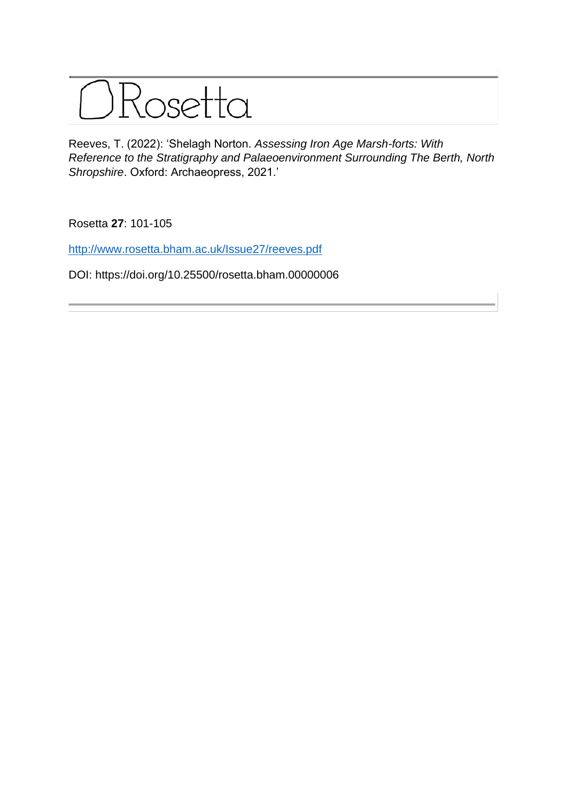

Reeves, T. (2022): 'Shelagh Norton. *Assessing Iron Age Marsh-forts: With Reference to the Stratigraphy and Palaeoenvironment Surrounding The Berth, North Shropshire*. Oxford: Archaeopress, 2021.'

Rosetta **27**: 101-105

<http://www.rosetta.bham.ac.uk/Issue27/reeves.pdf>

DOI: https://doi.org/10.25500/rosetta.bham.00000006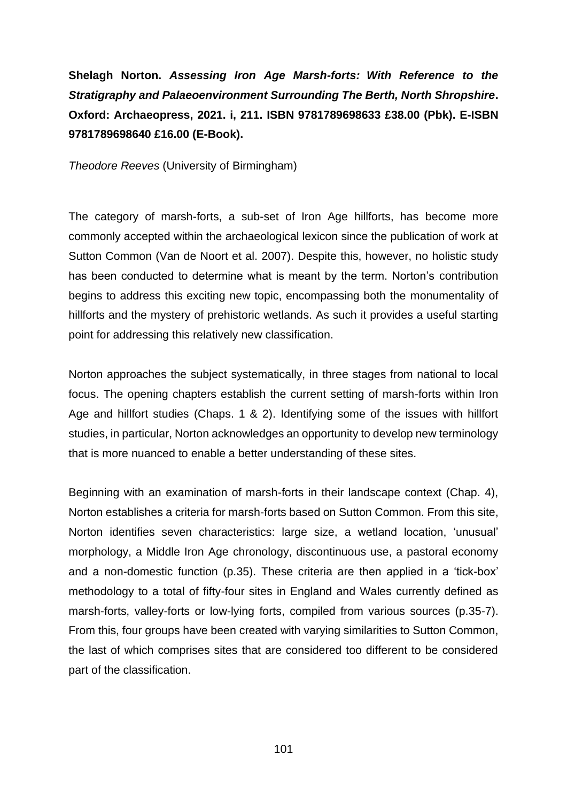## **Shelagh Norton.** *Assessing Iron Age Marsh-forts: With Reference to the Stratigraphy and Palaeoenvironment Surrounding The Berth, North Shropshire***. Oxford: Archaeopress, 2021. i, 211. ISBN 9781789698633 £38.00 (Pbk). E-ISBN 9781789698640 £16.00 (E-Book).**

*Theodore Reeves* (University of Birmingham)

The category of marsh-forts, a sub-set of Iron Age hillforts, has become more commonly accepted within the archaeological lexicon since the publication of work at Sutton Common (Van de Noort et al. 2007). Despite this, however, no holistic study has been conducted to determine what is meant by the term. Norton's contribution begins to address this exciting new topic, encompassing both the monumentality of hillforts and the mystery of prehistoric wetlands. As such it provides a useful starting point for addressing this relatively new classification.

Norton approaches the subject systematically, in three stages from national to local focus. The opening chapters establish the current setting of marsh-forts within Iron Age and hillfort studies (Chaps. 1 & 2). Identifying some of the issues with hillfort studies, in particular, Norton acknowledges an opportunity to develop new terminology that is more nuanced to enable a better understanding of these sites.

Beginning with an examination of marsh-forts in their landscape context (Chap. 4), Norton establishes a criteria for marsh-forts based on Sutton Common. From this site, Norton identifies seven characteristics: large size, a wetland location, 'unusual' morphology, a Middle Iron Age chronology, discontinuous use, a pastoral economy and a non-domestic function (p.35). These criteria are then applied in a 'tick-box' methodology to a total of fifty-four sites in England and Wales currently defined as marsh-forts, valley-forts or low-lying forts, compiled from various sources (p.35-7). From this, four groups have been created with varying similarities to Sutton Common, the last of which comprises sites that are considered too different to be considered part of the classification.

101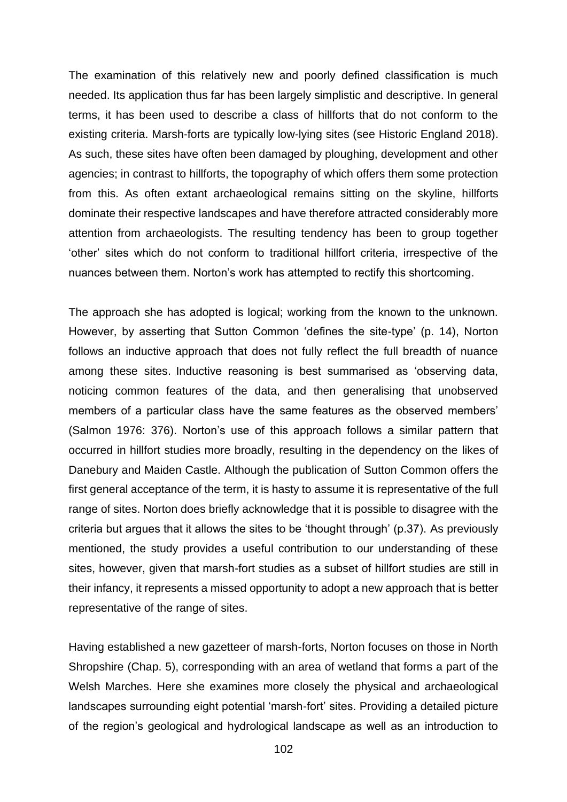The examination of this relatively new and poorly defined classification is much needed. Its application thus far has been largely simplistic and descriptive. In general terms, it has been used to describe a class of hillforts that do not conform to the existing criteria. Marsh-forts are typically low-lying sites (see Historic England 2018). As such, these sites have often been damaged by ploughing, development and other agencies; in contrast to hillforts, the topography of which offers them some protection from this. As often extant archaeological remains sitting on the skyline, hillforts dominate their respective landscapes and have therefore attracted considerably more attention from archaeologists. The resulting tendency has been to group together 'other' sites which do not conform to traditional hillfort criteria, irrespective of the nuances between them. Norton's work has attempted to rectify this shortcoming.

The approach she has adopted is logical; working from the known to the unknown. However, by asserting that Sutton Common 'defines the site-type' (p. 14), Norton follows an inductive approach that does not fully reflect the full breadth of nuance among these sites. Inductive reasoning is best summarised as 'observing data, noticing common features of the data, and then generalising that unobserved members of a particular class have the same features as the observed members' (Salmon 1976: 376). Norton's use of this approach follows a similar pattern that occurred in hillfort studies more broadly, resulting in the dependency on the likes of Danebury and Maiden Castle. Although the publication of Sutton Common offers the first general acceptance of the term, it is hasty to assume it is representative of the full range of sites. Norton does briefly acknowledge that it is possible to disagree with the criteria but argues that it allows the sites to be 'thought through' (p.37). As previously mentioned, the study provides a useful contribution to our understanding of these sites, however, given that marsh-fort studies as a subset of hillfort studies are still in their infancy, it represents a missed opportunity to adopt a new approach that is better representative of the range of sites.

Having established a new gazetteer of marsh-forts, Norton focuses on those in North Shropshire (Chap. 5), corresponding with an area of wetland that forms a part of the Welsh Marches. Here she examines more closely the physical and archaeological landscapes surrounding eight potential 'marsh-fort' sites. Providing a detailed picture of the region's geological and hydrological landscape as well as an introduction to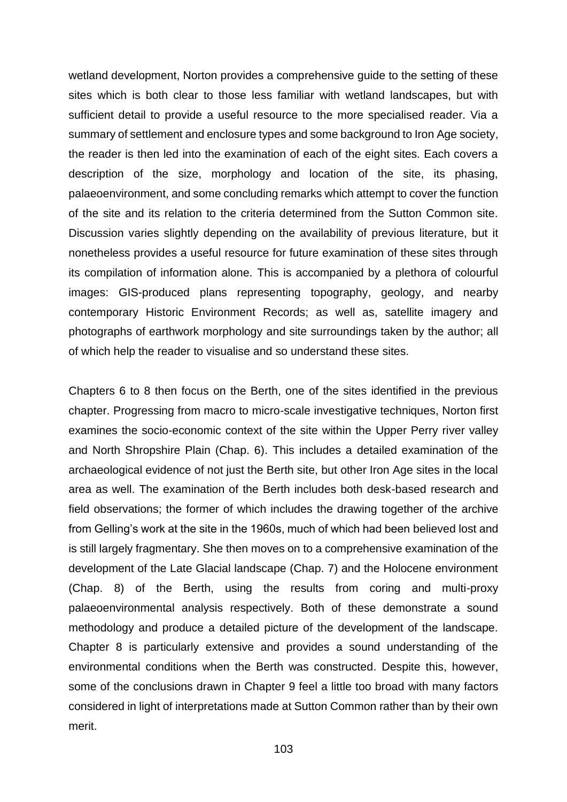wetland development, Norton provides a comprehensive guide to the setting of these sites which is both clear to those less familiar with wetland landscapes, but with sufficient detail to provide a useful resource to the more specialised reader. Via a summary of settlement and enclosure types and some background to Iron Age society, the reader is then led into the examination of each of the eight sites. Each covers a description of the size, morphology and location of the site, its phasing, palaeoenvironment, and some concluding remarks which attempt to cover the function of the site and its relation to the criteria determined from the Sutton Common site. Discussion varies slightly depending on the availability of previous literature, but it nonetheless provides a useful resource for future examination of these sites through its compilation of information alone. This is accompanied by a plethora of colourful images: GIS-produced plans representing topography, geology, and nearby contemporary Historic Environment Records; as well as, satellite imagery and photographs of earthwork morphology and site surroundings taken by the author; all of which help the reader to visualise and so understand these sites.

Chapters 6 to 8 then focus on the Berth, one of the sites identified in the previous chapter. Progressing from macro to micro-scale investigative techniques, Norton first examines the socio-economic context of the site within the Upper Perry river valley and North Shropshire Plain (Chap. 6). This includes a detailed examination of the archaeological evidence of not just the Berth site, but other Iron Age sites in the local area as well. The examination of the Berth includes both desk-based research and field observations; the former of which includes the drawing together of the archive from Gelling's work at the site in the 1960s, much of which had been believed lost and is still largely fragmentary. She then moves on to a comprehensive examination of the development of the Late Glacial landscape (Chap. 7) and the Holocene environment (Chap. 8) of the Berth, using the results from coring and multi-proxy palaeoenvironmental analysis respectively. Both of these demonstrate a sound methodology and produce a detailed picture of the development of the landscape. Chapter 8 is particularly extensive and provides a sound understanding of the environmental conditions when the Berth was constructed. Despite this, however, some of the conclusions drawn in Chapter 9 feel a little too broad with many factors considered in light of interpretations made at Sutton Common rather than by their own merit.

103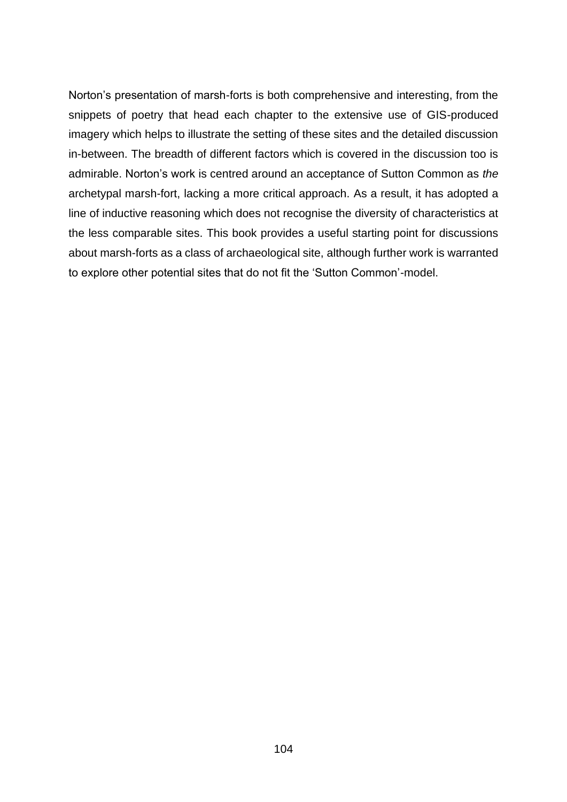Norton's presentation of marsh-forts is both comprehensive and interesting, from the snippets of poetry that head each chapter to the extensive use of GIS-produced imagery which helps to illustrate the setting of these sites and the detailed discussion in-between. The breadth of different factors which is covered in the discussion too is admirable. Norton's work is centred around an acceptance of Sutton Common as *the* archetypal marsh-fort, lacking a more critical approach. As a result, it has adopted a line of inductive reasoning which does not recognise the diversity of characteristics at the less comparable sites. This book provides a useful starting point for discussions about marsh-forts as a class of archaeological site, although further work is warranted to explore other potential sites that do not fit the 'Sutton Common'-model.